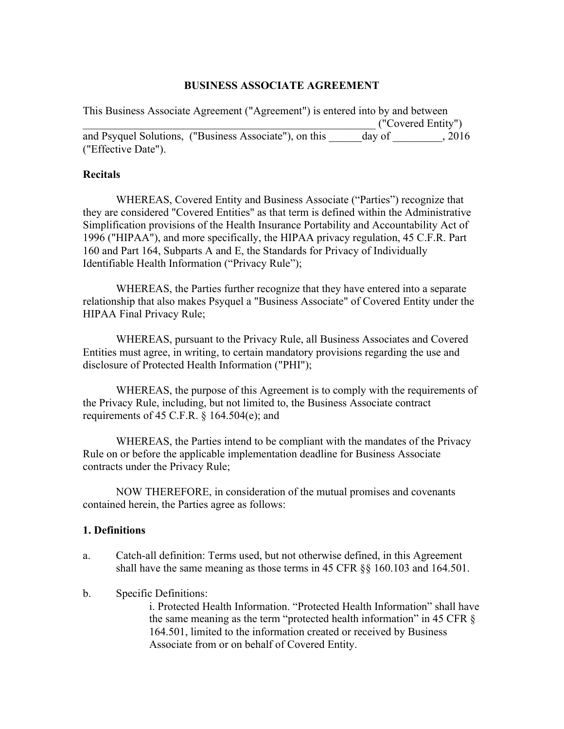### **BUSINESS ASSOCIATE AGREEMENT**

This Business Associate Agreement ("Agreement") is entered into by and between \_\_\_\_\_\_\_\_\_\_\_\_\_\_\_\_\_\_\_\_\_\_\_\_\_\_\_\_\_\_\_\_\_\_\_\_\_\_\_\_\_\_\_\_\_\_\_\_\_\_\_\_\_ ("Covered Entity") and Psyquel Solutions, ("Business Associate"), on this day of  $\qquad \qquad$ , 2016 ("Effective Date").

### **Recitals**

WHEREAS, Covered Entity and Business Associate ("Parties") recognize that they are considered "Covered Entities" as that term is defined within the Administrative Simplification provisions of the Health Insurance Portability and Accountability Act of 1996 ("HIPAA"), and more specifically, the HIPAA privacy regulation, 45 C.F.R. Part 160 and Part 164, Subparts A and E, the Standards for Privacy of Individually Identifiable Health Information ("Privacy Rule");

WHEREAS, the Parties further recognize that they have entered into a separate relationship that also makes Psyquel a "Business Associate" of Covered Entity under the HIPAA Final Privacy Rule;

WHEREAS, pursuant to the Privacy Rule, all Business Associates and Covered Entities must agree, in writing, to certain mandatory provisions regarding the use and disclosure of Protected Health Information ("PHI");

WHEREAS, the purpose of this Agreement is to comply with the requirements of the Privacy Rule, including, but not limited to, the Business Associate contract requirements of 45 C.F.R.  $\S$  164.504(e); and

WHEREAS, the Parties intend to be compliant with the mandates of the Privacy Rule on or before the applicable implementation deadline for Business Associate contracts under the Privacy Rule;

NOW THEREFORE, in consideration of the mutual promises and covenants contained herein, the Parties agree as follows:

### **1. Definitions**

- a. Catch-all definition: Terms used, but not otherwise defined, in this Agreement shall have the same meaning as those terms in 45 CFR §§ 160.103 and 164.501.
- b. Specific Definitions:

i. Protected Health Information. "Protected Health Information" shall have the same meaning as the term "protected health information" in 45 CFR § 164.501, limited to the information created or received by Business Associate from or on behalf of Covered Entity.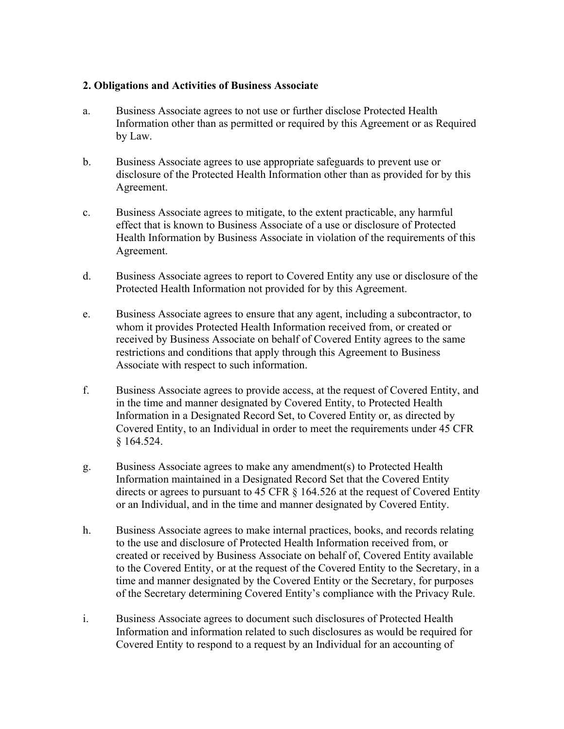## **2. Obligations and Activities of Business Associate**

- a. Business Associate agrees to not use or further disclose Protected Health Information other than as permitted or required by this Agreement or as Required by Law.
- b. Business Associate agrees to use appropriate safeguards to prevent use or disclosure of the Protected Health Information other than as provided for by this Agreement.
- c. Business Associate agrees to mitigate, to the extent practicable, any harmful effect that is known to Business Associate of a use or disclosure of Protected Health Information by Business Associate in violation of the requirements of this Agreement.
- d. Business Associate agrees to report to Covered Entity any use or disclosure of the Protected Health Information not provided for by this Agreement.
- e. Business Associate agrees to ensure that any agent, including a subcontractor, to whom it provides Protected Health Information received from, or created or received by Business Associate on behalf of Covered Entity agrees to the same restrictions and conditions that apply through this Agreement to Business Associate with respect to such information.
- f. Business Associate agrees to provide access, at the request of Covered Entity, and in the time and manner designated by Covered Entity, to Protected Health Information in a Designated Record Set, to Covered Entity or, as directed by Covered Entity, to an Individual in order to meet the requirements under 45 CFR § 164.524.
- g. Business Associate agrees to make any amendment(s) to Protected Health Information maintained in a Designated Record Set that the Covered Entity directs or agrees to pursuant to 45 CFR § 164.526 at the request of Covered Entity or an Individual, and in the time and manner designated by Covered Entity.
- h. Business Associate agrees to make internal practices, books, and records relating to the use and disclosure of Protected Health Information received from, or created or received by Business Associate on behalf of, Covered Entity available to the Covered Entity, or at the request of the Covered Entity to the Secretary, in a time and manner designated by the Covered Entity or the Secretary, for purposes of the Secretary determining Covered Entity's compliance with the Privacy Rule.
- i. Business Associate agrees to document such disclosures of Protected Health Information and information related to such disclosures as would be required for Covered Entity to respond to a request by an Individual for an accounting of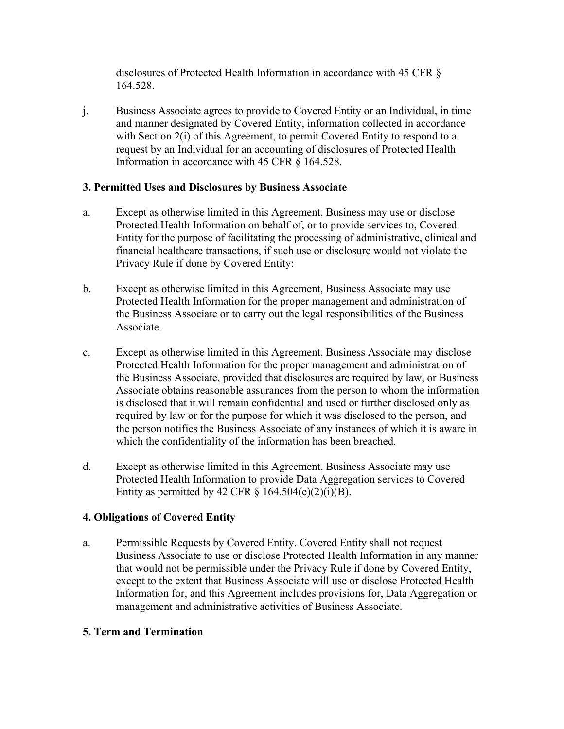disclosures of Protected Health Information in accordance with 45 CFR § 164.528.

j. Business Associate agrees to provide to Covered Entity or an Individual, in time and manner designated by Covered Entity, information collected in accordance with Section 2(i) of this Agreement, to permit Covered Entity to respond to a request by an Individual for an accounting of disclosures of Protected Health Information in accordance with 45 CFR § 164.528.

## **3. Permitted Uses and Disclosures by Business Associate**

- a. Except as otherwise limited in this Agreement, Business may use or disclose Protected Health Information on behalf of, or to provide services to, Covered Entity for the purpose of facilitating the processing of administrative, clinical and financial healthcare transactions, if such use or disclosure would not violate the Privacy Rule if done by Covered Entity:
- b. Except as otherwise limited in this Agreement, Business Associate may use Protected Health Information for the proper management and administration of the Business Associate or to carry out the legal responsibilities of the Business Associate.
- c. Except as otherwise limited in this Agreement, Business Associate may disclose Protected Health Information for the proper management and administration of the Business Associate, provided that disclosures are required by law, or Business Associate obtains reasonable assurances from the person to whom the information is disclosed that it will remain confidential and used or further disclosed only as required by law or for the purpose for which it was disclosed to the person, and the person notifies the Business Associate of any instances of which it is aware in which the confidentiality of the information has been breached.
- d. Except as otherwise limited in this Agreement, Business Associate may use Protected Health Information to provide Data Aggregation services to Covered Entity as permitted by 42 CFR  $\S$  164.504(e)(2)(i)(B).

# **4. Obligations of Covered Entity**

a. Permissible Requests by Covered Entity. Covered Entity shall not request Business Associate to use or disclose Protected Health Information in any manner that would not be permissible under the Privacy Rule if done by Covered Entity, except to the extent that Business Associate will use or disclose Protected Health Information for, and this Agreement includes provisions for, Data Aggregation or management and administrative activities of Business Associate.

# **5. Term and Termination**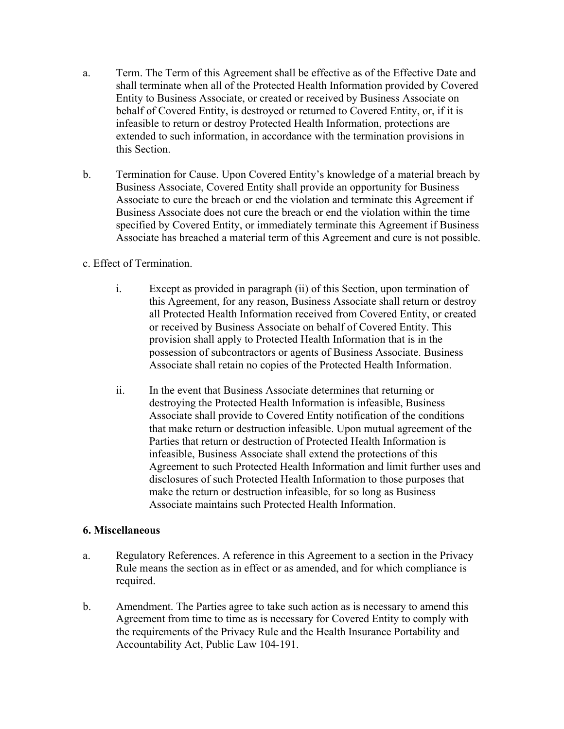- a. Term. The Term of this Agreement shall be effective as of the Effective Date and shall terminate when all of the Protected Health Information provided by Covered Entity to Business Associate, or created or received by Business Associate on behalf of Covered Entity, is destroyed or returned to Covered Entity, or, if it is infeasible to return or destroy Protected Health Information, protections are extended to such information, in accordance with the termination provisions in this Section.
- b. Termination for Cause. Upon Covered Entity's knowledge of a material breach by Business Associate, Covered Entity shall provide an opportunity for Business Associate to cure the breach or end the violation and terminate this Agreement if Business Associate does not cure the breach or end the violation within the time specified by Covered Entity, or immediately terminate this Agreement if Business Associate has breached a material term of this Agreement and cure is not possible.

# c. Effect of Termination.

- i. Except as provided in paragraph (ii) of this Section, upon termination of this Agreement, for any reason, Business Associate shall return or destroy all Protected Health Information received from Covered Entity, or created or received by Business Associate on behalf of Covered Entity. This provision shall apply to Protected Health Information that is in the possession of subcontractors or agents of Business Associate. Business Associate shall retain no copies of the Protected Health Information.
- ii. In the event that Business Associate determines that returning or destroying the Protected Health Information is infeasible, Business Associate shall provide to Covered Entity notification of the conditions that make return or destruction infeasible. Upon mutual agreement of the Parties that return or destruction of Protected Health Information is infeasible, Business Associate shall extend the protections of this Agreement to such Protected Health Information and limit further uses and disclosures of such Protected Health Information to those purposes that make the return or destruction infeasible, for so long as Business Associate maintains such Protected Health Information.

### **6. Miscellaneous**

- a. Regulatory References. A reference in this Agreement to a section in the Privacy Rule means the section as in effect or as amended, and for which compliance is required.
- b. Amendment. The Parties agree to take such action as is necessary to amend this Agreement from time to time as is necessary for Covered Entity to comply with the requirements of the Privacy Rule and the Health Insurance Portability and Accountability Act, Public Law 104-191.